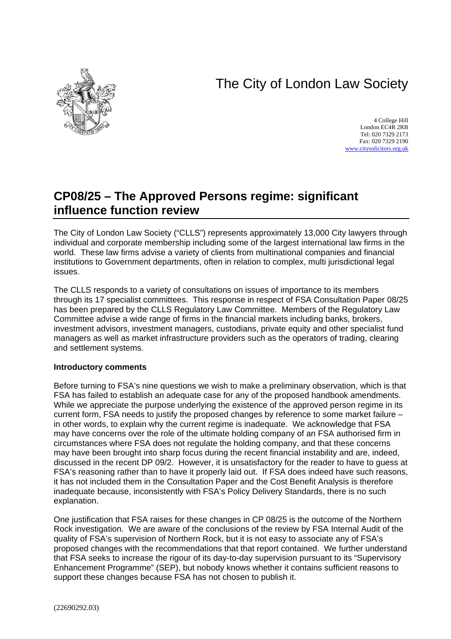# The City of London Law Society



4 College Hill London EC4R 2RB Tel: 020 7329 2173 Fax: 020 7329 2190 [www.citysolicitors.org.uk](http://www.citysolicitors.org.uk/)

## **CP08/25 – The Approved Persons regime: significant influence function review**

The City of London Law Society ("CLLS") represents approximately 13,000 City lawyers through individual and corporate membership including some of the largest international law firms in the world. These law firms advise a variety of clients from multinational companies and financial institutions to Government departments, often in relation to complex, multi jurisdictional legal issues.

The CLLS responds to a variety of consultations on issues of importance to its members through its 17 specialist committees. This response in respect of FSA Consultation Paper 08/25 has been prepared by the CLLS Regulatory Law Committee. Members of the Regulatory Law Committee advise a wide range of firms in the financial markets including banks, brokers, investment advisors, investment managers, custodians, private equity and other specialist fund managers as well as market infrastructure providers such as the operators of trading, clearing and settlement systems.

#### **Introductory comments**

Before turning to FSA's nine questions we wish to make a preliminary observation, which is that FSA has failed to establish an adequate case for any of the proposed handbook amendments. While we appreciate the purpose underlying the existence of the approved person regime in its current form, FSA needs to justify the proposed changes by reference to some market failure – in other words, to explain why the current regime is inadequate. We acknowledge that FSA may have concerns over the role of the ultimate holding company of an FSA authorised firm in circumstances where FSA does not regulate the holding company, and that these concerns may have been brought into sharp focus during the recent financial instability and are, indeed, discussed in the recent DP 09/2. However, it is unsatisfactory for the reader to have to guess at FSA's reasoning rather than to have it properly laid out. If FSA does indeed have such reasons, it has not included them in the Consultation Paper and the Cost Benefit Analysis is therefore inadequate because, inconsistently with FSA's Policy Delivery Standards, there is no such explanation.

One justification that FSA raises for these changes in CP 08/25 is the outcome of the Northern Rock investigation. We are aware of the conclusions of the review by FSA Internal Audit of the quality of FSA's supervision of Northern Rock, but it is not easy to associate any of FSA's proposed changes with the recommendations that that report contained. We further understand that FSA seeks to increase the rigour of its day-to-day supervision pursuant to its "Supervisory Enhancement Programme" (SEP), but nobody knows whether it contains sufficient reasons to support these changes because FSA has not chosen to publish it.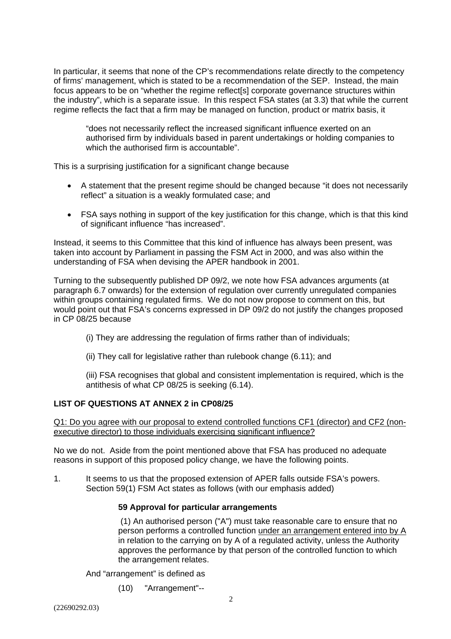In particular, it seems that none of the CP's recommendations relate directly to the competency of firms' management, which is stated to be a recommendation of the SEP. Instead, the main focus appears to be on "whether the regime reflect[s] corporate governance structures within the industry", which is a separate issue. In this respect FSA states (at 3.3) that while the current regime reflects the fact that a firm may be managed on function, product or matrix basis, it

"does not necessarily reflect the increased significant influence exerted on an authorised firm by individuals based in parent undertakings or holding companies to which the authorised firm is accountable".

This is a surprising justification for a significant change because

- A statement that the present regime should be changed because "it does not necessarily reflect" a situation is a weakly formulated case; and
- FSA says nothing in support of the key justification for this change, which is that this kind of significant influence "has increased".

Instead, it seems to this Committee that this kind of influence has always been present, was taken into account by Parliament in passing the FSM Act in 2000, and was also within the understanding of FSA when devising the APER handbook in 2001.

Turning to the subsequently published DP 09/2, we note how FSA advances arguments (at paragraph 6.7 onwards) for the extension of regulation over currently unregulated companies within groups containing regulated firms. We do not now propose to comment on this, but would point out that FSA's concerns expressed in DP 09/2 do not justify the changes proposed in CP 08/25 because

- (i) They are addressing the regulation of firms rather than of individuals;
- (ii) They call for legislative rather than rulebook change (6.11); and

(iii) FSA recognises that global and consistent implementation is required, which is the antithesis of what CP 08/25 is seeking (6.14).

#### **LIST OF QUESTIONS AT ANNEX 2 in CP08/25**

Q1: Do you agree with our proposal to extend controlled functions CF1 (director) and CF2 (nonexecutive director) to those individuals exercising significant influence?

No we do not. Aside from the point mentioned above that FSA has produced no adequate reasons in support of this proposed policy change, we have the following points.

1. It seems to us that the proposed extension of APER falls outside FSA's powers. Section 59(1) FSM Act states as follows (with our emphasis added)

#### **59 Approval for particular arrangements**

 (1) An authorised person ("A") must take reasonable care to ensure that no person performs a controlled function under an arrangement entered into by A in relation to the carrying on by A of a regulated activity, unless the Authority approves the performance by that person of the controlled function to which the arrangement relates.

And "arrangement" is defined as

(10) "Arrangement"--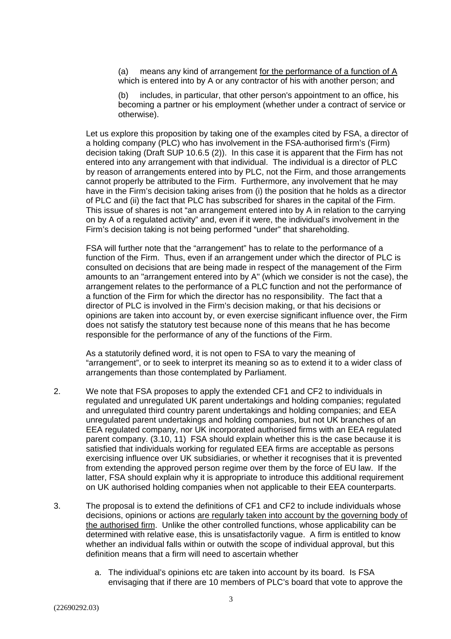(a) means any kind of arrangement for the performance of a function of A which is entered into by A or any contractor of his with another person; and

includes, in particular, that other person's appointment to an office, his becoming a partner or his employment (whether under a contract of service or otherwise).

Let us explore this proposition by taking one of the examples cited by FSA, a director of a holding company (PLC) who has involvement in the FSA-authorised firm's (Firm) decision taking (Draft SUP 10.6.5 (2)). In this case it is apparent that the Firm has not entered into any arrangement with that individual. The individual is a director of PLC by reason of arrangements entered into by PLC, not the Firm, and those arrangements cannot properly be attributed to the Firm. Furthermore, any involvement that he may have in the Firm's decision taking arises from (i) the position that he holds as a director of PLC and (ii) the fact that PLC has subscribed for shares in the capital of the Firm. This issue of shares is not "an arrangement entered into by A in relation to the carrying on by A of a regulated activity" and, even if it were, the individual's involvement in the Firm's decision taking is not being performed "under" that shareholding.

FSA will further note that the "arrangement" has to relate to the performance of a function of the Firm. Thus, even if an arrangement under which the director of PLC is consulted on decisions that are being made in respect of the management of the Firm amounts to an "arrangement entered into by A" (which we consider is not the case), the arrangement relates to the performance of a PLC function and not the performance of a function of the Firm for which the director has no responsibility. The fact that a director of PLC is involved in the Firm's decision making, or that his decisions or opinions are taken into account by, or even exercise significant influence over, the Firm does not satisfy the statutory test because none of this means that he has become responsible for the performance of any of the functions of the Firm.

As a statutorily defined word, it is not open to FSA to vary the meaning of "arrangement", or to seek to interpret its meaning so as to extend it to a wider class of arrangements than those contemplated by Parliament.

- 2. We note that FSA proposes to apply the extended CF1 and CF2 to individuals in regulated and unregulated UK parent undertakings and holding companies; regulated and unregulated third country parent undertakings and holding companies; and EEA unregulated parent undertakings and holding companies, but not UK branches of an EEA regulated company, nor UK incorporated authorised firms with an EEA regulated parent company. (3.10, 11) FSA should explain whether this is the case because it is satisfied that individuals working for regulated EEA firms are acceptable as persons exercising influence over UK subsidiaries, or whether it recognises that it is prevented from extending the approved person regime over them by the force of EU law. If the latter, FSA should explain why it is appropriate to introduce this additional requirement on UK authorised holding companies when not applicable to their EEA counterparts.
- 3. The proposal is to extend the definitions of CF1 and CF2 to include individuals whose decisions, opinions or actions are regularly taken into account by the governing body of the authorised firm. Unlike the other controlled functions, whose applicability can be determined with relative ease, this is unsatisfactorily vague. A firm is entitled to know whether an individual falls within or outwith the scope of individual approval, but this definition means that a firm will need to ascertain whether
	- a. The individual's opinions etc are taken into account by its board. Is FSA envisaging that if there are 10 members of PLC's board that vote to approve the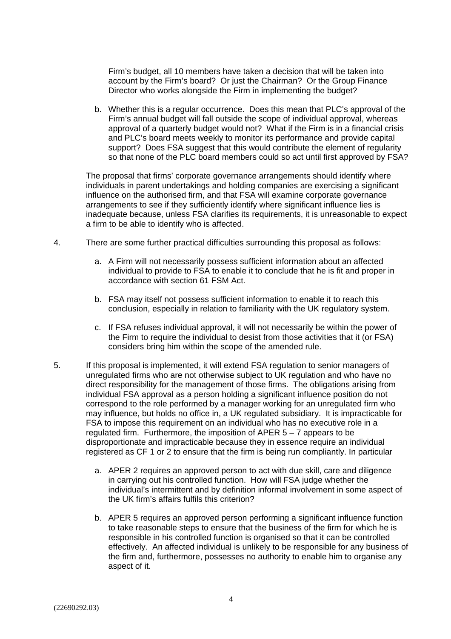Firm's budget, all 10 members have taken a decision that will be taken into account by the Firm's board? Or just the Chairman? Or the Group Finance Director who works alongside the Firm in implementing the budget?

b. Whether this is a regular occurrence. Does this mean that PLC's approval of the Firm's annual budget will fall outside the scope of individual approval, whereas approval of a quarterly budget would not? What if the Firm is in a financial crisis and PLC's board meets weekly to monitor its performance and provide capital support? Does FSA suggest that this would contribute the element of regularity so that none of the PLC board members could so act until first approved by FSA?

The proposal that firms' corporate governance arrangements should identify where individuals in parent undertakings and holding companies are exercising a significant influence on the authorised firm, and that FSA will examine corporate governance arrangements to see if they sufficiently identify where significant influence lies is inadequate because, unless FSA clarifies its requirements, it is unreasonable to expect a firm to be able to identify who is affected.

- 4. There are some further practical difficulties surrounding this proposal as follows:
	- a. A Firm will not necessarily possess sufficient information about an affected individual to provide to FSA to enable it to conclude that he is fit and proper in accordance with section 61 FSM Act.
	- b. FSA may itself not possess sufficient information to enable it to reach this conclusion, especially in relation to familiarity with the UK regulatory system.
	- c. If FSA refuses individual approval, it will not necessarily be within the power of the Firm to require the individual to desist from those activities that it (or FSA) considers bring him within the scope of the amended rule.
- 5. If this proposal is implemented, it will extend FSA regulation to senior managers of unregulated firms who are not otherwise subject to UK regulation and who have no direct responsibility for the management of those firms. The obligations arising from individual FSA approval as a person holding a significant influence position do not correspond to the role performed by a manager working for an unregulated firm who may influence, but holds no office in, a UK regulated subsidiary. It is impracticable for FSA to impose this requirement on an individual who has no executive role in a regulated firm. Furthermore, the imposition of APER  $5 - 7$  appears to be disproportionate and impracticable because they in essence require an individual registered as CF 1 or 2 to ensure that the firm is being run compliantly. In particular
	- a. APER 2 requires an approved person to act with due skill, care and diligence in carrying out his controlled function. How will FSA judge whether the individual's intermittent and by definition informal involvement in some aspect of the UK firm's affairs fulfils this criterion?
	- b. APER 5 requires an approved person performing a significant influence function to take reasonable steps to ensure that the business of the firm for which he is responsible in his controlled function is organised so that it can be controlled effectively. An affected individual is unlikely to be responsible for any business of the firm and, furthermore, possesses no authority to enable him to organise any aspect of it.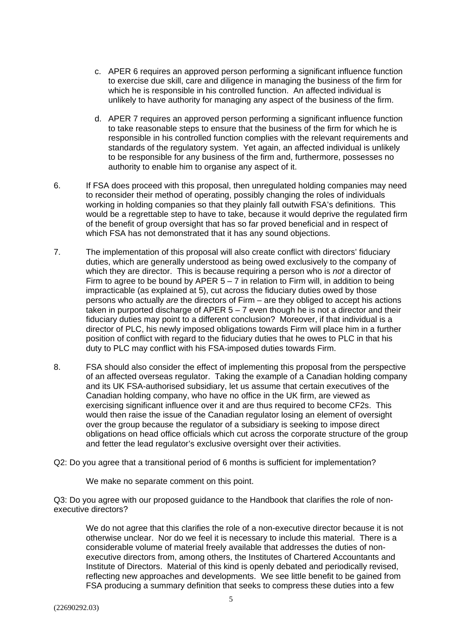- c. APER 6 requires an approved person performing a significant influence function to exercise due skill, care and diligence in managing the business of the firm for which he is responsible in his controlled function. An affected individual is unlikely to have authority for managing any aspect of the business of the firm.
- d. APER 7 requires an approved person performing a significant influence function to take reasonable steps to ensure that the business of the firm for which he is responsible in his controlled function complies with the relevant requirements and standards of the regulatory system. Yet again, an affected individual is unlikely to be responsible for any business of the firm and, furthermore, possesses no authority to enable him to organise any aspect of it.
- 6. If FSA does proceed with this proposal, then unregulated holding companies may need to reconsider their method of operating, possibly changing the roles of individuals working in holding companies so that they plainly fall outwith FSA's definitions. This would be a regrettable step to have to take, because it would deprive the regulated firm of the benefit of group oversight that has so far proved beneficial and in respect of which FSA has not demonstrated that it has any sound objections.
- 7. The implementation of this proposal will also create conflict with directors' fiduciary duties, which are generally understood as being owed exclusively to the company of which they are director. This is because requiring a person who is *not* a director of Firm to agree to be bound by APER  $5 - 7$  in relation to Firm will, in addition to being impracticable (as explained at 5), cut across the fiduciary duties owed by those persons who actually *are* the directors of Firm – are they obliged to accept his actions taken in purported discharge of APER  $5 - 7$  even though he is not a director and their fiduciary duties may point to a different conclusion? Moreover, if that individual is a director of PLC, his newly imposed obligations towards Firm will place him in a further position of conflict with regard to the fiduciary duties that he owes to PLC in that his duty to PLC may conflict with his FSA-imposed duties towards Firm.
- 8. FSA should also consider the effect of implementing this proposal from the perspective of an affected overseas regulator. Taking the example of a Canadian holding company and its UK FSA-authorised subsidiary, let us assume that certain executives of the Canadian holding company, who have no office in the UK firm, are viewed as exercising significant influence over it and are thus required to become CF2s. This would then raise the issue of the Canadian regulator losing an element of oversight over the group because the regulator of a subsidiary is seeking to impose direct obligations on head office officials which cut across the corporate structure of the group and fetter the lead regulator's exclusive oversight over their activities.
- Q2: Do you agree that a transitional period of 6 months is sufficient for implementation?

We make no separate comment on this point.

Q3: Do you agree with our proposed guidance to the Handbook that clarifies the role of nonexecutive directors?

We do not agree that this clarifies the role of a non-executive director because it is not otherwise unclear. Nor do we feel it is necessary to include this material. There is a considerable volume of material freely available that addresses the duties of nonexecutive directors from, among others, the Institutes of Chartered Accountants and Institute of Directors. Material of this kind is openly debated and periodically revised, reflecting new approaches and developments. We see little benefit to be gained from FSA producing a summary definition that seeks to compress these duties into a few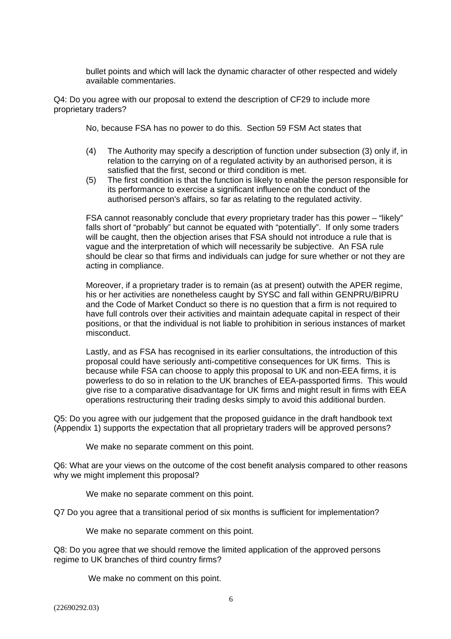bullet points and which will lack the dynamic character of other respected and widely available commentaries.

Q4: Do you agree with our proposal to extend the description of CF29 to include more proprietary traders?

No, because FSA has no power to do this. Section 59 FSM Act states that

- (4) The Authority may specify a description of function under subsection (3) only if, in relation to the carrying on of a regulated activity by an authorised person, it is satisfied that the first, second or third condition is met.
- (5) The first condition is that the function is likely to enable the person responsible for its performance to exercise a significant influence on the conduct of the authorised person's affairs, so far as relating to the regulated activity.

FSA cannot reasonably conclude that *every* proprietary trader has this power – "likely" falls short of "probably" but cannot be equated with "potentially". If only some traders will be caught, then the objection arises that FSA should not introduce a rule that is vague and the interpretation of which will necessarily be subjective. An FSA rule should be clear so that firms and individuals can judge for sure whether or not they are acting in compliance.

Moreover, if a proprietary trader is to remain (as at present) outwith the APER regime, his or her activities are nonetheless caught by SYSC and fall within GENPRU/BIPRU and the Code of Market Conduct so there is no question that a firm is not required to have full controls over their activities and maintain adequate capital in respect of their positions, or that the individual is not liable to prohibition in serious instances of market misconduct.

Lastly, and as FSA has recognised in its earlier consultations, the introduction of this proposal could have seriously anti-competitive consequences for UK firms. This is because while FSA can choose to apply this proposal to UK and non-EEA firms, it is powerless to do so in relation to the UK branches of EEA-passported firms. This would give rise to a comparative disadvantage for UK firms and might result in firms with EEA operations restructuring their trading desks simply to avoid this additional burden.

Q5: Do you agree with our judgement that the proposed guidance in the draft handbook text (Appendix 1) supports the expectation that all proprietary traders will be approved persons?

We make no separate comment on this point.

Q6: What are your views on the outcome of the cost benefit analysis compared to other reasons why we might implement this proposal?

We make no separate comment on this point.

Q7 Do you agree that a transitional period of six months is sufficient for implementation?

We make no separate comment on this point.

Q8: Do you agree that we should remove the limited application of the approved persons regime to UK branches of third country firms?

We make no comment on this point.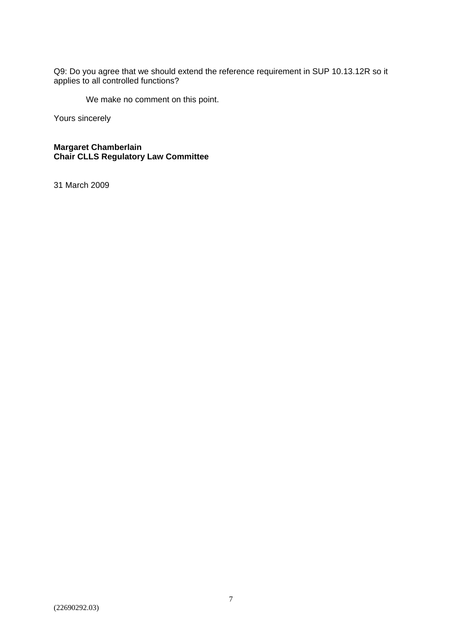Q9: Do you agree that we should extend the reference requirement in SUP 10.13.12R so it applies to all controlled functions?

We make no comment on this point.

Yours sincerely

**Margaret Chamberlain Chair CLLS Regulatory Law Committee** 

31 March 2009